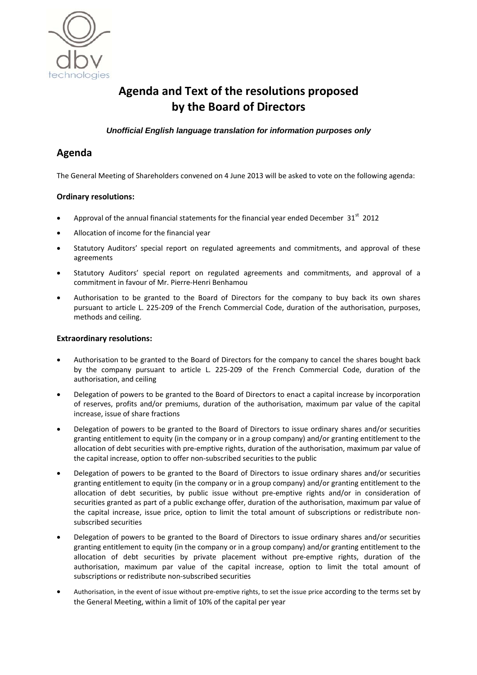

# **Agenda and Text of the resolutions proposed by the Board of Directors**

*Unofficial English language translation for information purposes only* 

# **Agenda**

The General Meeting of Shareholders convened on 4 June 2013 will be asked to vote on the following agenda:

### **Ordinary resolutions:**

- Approval of the annual financial statements for the financial year ended December  $31<sup>st</sup>$  2012
- Allocation of income for the financial year
- Statutory Auditors' special report on regulated agreements and commitments, and approval of these agreements
- Statutory Auditors' special report on regulated agreements and commitments, and approval of a commitment in favour of Mr. Pierre‐Henri Benhamou
- Authorisation to be granted to the Board of Directors for the company to buy back its own shares pursuant to article L. 225‐209 of the French Commercial Code, duration of the authorisation, purposes, methods and ceiling.

### **Extraordinary resolutions:**

- Authorisation to be granted to the Board of Directors for the company to cancel the shares bought back by the company pursuant to article L. 225‐209 of the French Commercial Code, duration of the authorisation, and ceiling
- Delegation of powers to be granted to the Board of Directors to enact a capital increase by incorporation of reserves, profits and/or premiums, duration of the authorisation, maximum par value of the capital increase, issue of share fractions
- Delegation of powers to be granted to the Board of Directors to issue ordinary shares and/or securities granting entitlement to equity (in the company or in a group company) and/or granting entitlement to the allocation of debt securities with pre‐emptive rights, duration of the authorisation, maximum par value of the capital increase, option to offer non‐subscribed securities to the public
- Delegation of powers to be granted to the Board of Directors to issue ordinary shares and/or securities granting entitlement to equity (in the company or in a group company) and/or granting entitlement to the allocation of debt securities, by public issue without pre-emptive rights and/or in consideration of securities granted as part of a public exchange offer, duration of the authorisation, maximum par value of the capital increase, issue price, option to limit the total amount of subscriptions or redistribute nonsubscribed securities
- Delegation of powers to be granted to the Board of Directors to issue ordinary shares and/or securities granting entitlement to equity (in the company or in a group company) and/or granting entitlement to the allocation of debt securities by private placement without pre‐emptive rights, duration of the authorisation, maximum par value of the capital increase, option to limit the total amount of subscriptions or redistribute non‐subscribed securities
- Authorisation, in the event of issue without pre‐emptive rights, to set the issue price according to the terms set by the General Meeting, within a limit of 10% of the capital per year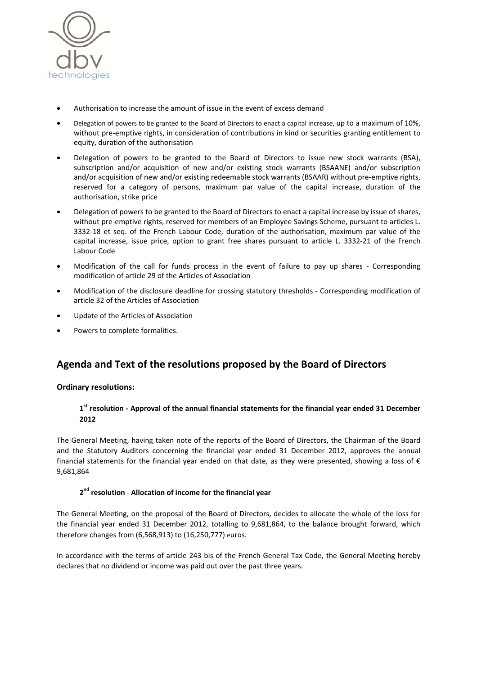

- Authorisation to increase the amount of issue in the event of excess demand
- Delegation of powers to be granted to the Board of Directors to enact a capital increase, up to a maximum of 10%, without pre-emptive rights, in consideration of contributions in kind or securities granting entitlement to equity, duration of the authorisation
- Delegation of powers to be granted to the Board of Directors to issue new stock warrants (BSA), subscription and/or acquisition of new and/or existing stock warrants (BSAANE) and/or subscription and/or acquisition of new and/or existing redeemable stock warrants (BSAAR) without pre-emptive rights, reserved for a category of persons, maximum par value of the capital increase, duration of the authorisation, strike price
- Delegation of powers to be granted to the Board of Directors to enact a capital increase by issue of shares, without pre-emptive rights, reserved for members of an Employee Savings Scheme, pursuant to articles L. 3332-18 et seq. of the French Labour Code, duration of the authorisation, maximum par value of the capital increase, issue price, option to grant free shares pursuant to article L. 3332‐21 of the French Labour Code
- Modification of the call for funds process in the event of failure to pay up shares Corresponding modification of article 29 of the Articles of Association
- Modification of the disclosure deadline for crossing statutory thresholds Corresponding modification of article 32 of the Articles of Association
- Update of the Articles of Association
- Powers to complete formalities.

# **Agenda and Text of the resolutions proposed by the Board of Directors**

### **Ordinary resolutions:**

### **1st resolution ‐ Approval of the annual financial statements for the financial year ended 31 December 2012**

The General Meeting, having taken note of the reports of the Board of Directors, the Chairman of the Board and the Statutory Auditors concerning the financial year ended 31 December 2012, approves the annual financial statements for the financial year ended on that date, as they were presented, showing a loss of  $\epsilon$ 9,681,864

#### **2nd resolution** ‐ **Allocation of income for the financial year**

The General Meeting, on the proposal of the Board of Directors, decides to allocate the whole of the loss for the financial year ended 31 December 2012, totalling to 9,681,864, to the balance brought forward, which therefore changes from (6,568,913) to (16,250,777) euros.

In accordance with the terms of article 243 bis of the French General Tax Code, the General Meeting hereby declares that no dividend or income was paid out over the past three years.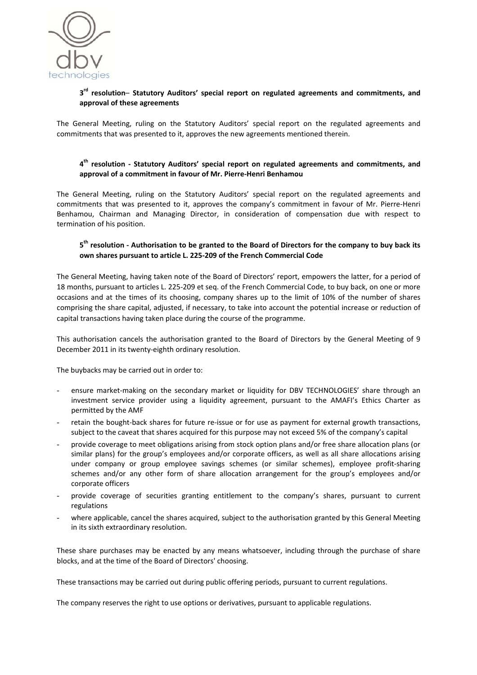

#### **3rd resolution**– **Statutory Auditors' special report on regulated agreements and commitments, and approval of these agreements**

The General Meeting, ruling on the Statutory Auditors' special report on the regulated agreements and commitments that was presented to it, approves the new agreements mentioned therein.

#### **4th resolution ‐ Statutory Auditors' special report on regulated agreements and commitments, and approval of a commitment in favour of Mr. Pierre‐Henri Benhamou**

The General Meeting, ruling on the Statutory Auditors' special report on the regulated agreements and commitments that was presented to it, approves the company's commitment in favour of Mr. Pierre‐Henri Benhamou, Chairman and Managing Director, in consideration of compensation due with respect to termination of his position.

#### 5<sup>th</sup> resolution - Authorisation to be granted to the Board of Directors for the company to buy back its **own shares pursuant to article L. 225‐209 of the French Commercial Code**

The General Meeting, having taken note of the Board of Directors' report, empowers the latter, for a period of 18 months, pursuant to articles L. 225-209 et seq. of the French Commercial Code, to buy back, on one or more occasions and at the times of its choosing, company shares up to the limit of 10% of the number of shares comprising the share capital, adjusted, if necessary, to take into account the potential increase or reduction of capital transactions having taken place during the course of the programme.

This authorisation cancels the authorisation granted to the Board of Directors by the General Meeting of 9 December 2011 in its twenty‐eighth ordinary resolution.

The buybacks may be carried out in order to:

- ensure market-making on the secondary market or liquidity for DBV TECHNOLOGIES' share through an investment service provider using a liquidity agreement, pursuant to the AMAFI's Ethics Charter as permitted by the AMF
- retain the bought-back shares for future re-issue or for use as payment for external growth transactions, subject to the caveat that shares acquired for this purpose may not exceed 5% of the company's capital
- provide coverage to meet obligations arising from stock option plans and/or free share allocation plans (or similar plans) for the group's employees and/or corporate officers, as well as all share allocations arising under company or group employee savings schemes (or similar schemes), employee profit‐sharing schemes and/or any other form of share allocation arrangement for the group's employees and/or corporate officers
- provide coverage of securities granting entitlement to the company's shares, pursuant to current regulations
- where applicable, cancel the shares acquired, subject to the authorisation granted by this General Meeting in its sixth extraordinary resolution.

These share purchases may be enacted by any means whatsoever, including through the purchase of share blocks, and at the time of the Board of Directors' choosing.

These transactions may be carried out during public offering periods, pursuant to current regulations.

The company reserves the right to use options or derivatives, pursuant to applicable regulations.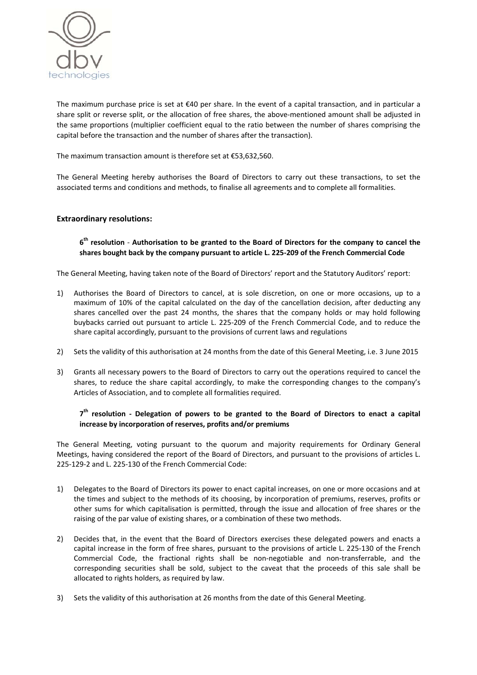

The maximum purchase price is set at €40 per share. In the event of a capital transaction, and in particular a share split or reverse split, or the allocation of free shares, the above-mentioned amount shall be adjusted in the same proportions (multiplier coefficient equal to the ratio between the number of shares comprising the capital before the transaction and the number of shares after the transaction).

The maximum transaction amount is therefore set at €53,632,560.

The General Meeting hereby authorises the Board of Directors to carry out these transactions, to set the associated terms and conditions and methods, to finalise all agreements and to complete all formalities.

#### **Extraordinary resolutions:**

### 6<sup>th</sup> resolution - Authorisation to be granted to the Board of Directors for the company to cancel the shares bought back by the company pursuant to article L. 225-209 of the French Commercial Code

The General Meeting, having taken note of the Board of Directors' report and the Statutory Auditors' report:

- 1) Authorises the Board of Directors to cancel, at is sole discretion, on one or more occasions, up to a maximum of 10% of the capital calculated on the day of the cancellation decision, after deducting any shares cancelled over the past 24 months, the shares that the company holds or may hold following buybacks carried out pursuant to article L. 225‐209 of the French Commercial Code, and to reduce the share capital accordingly, pursuant to the provisions of current laws and regulations
- 2) Sets the validity of this authorisation at 24 months from the date of this General Meeting, i.e. 3 June 2015
- 3) Grants all necessary powers to the Board of Directors to carry out the operations required to cancel the shares, to reduce the share capital accordingly, to make the corresponding changes to the company's Articles of Association, and to complete all formalities required.

#### 7<sup>th</sup> resolution - Delegation of powers to be granted to the Board of Directors to enact a capital **increase by incorporation of reserves, profits and/or premiums**

The General Meeting, voting pursuant to the quorum and majority requirements for Ordinary General Meetings, having considered the report of the Board of Directors, and pursuant to the provisions of articles L. 225‐129‐2 and L. 225‐130 of the French Commercial Code:

- 1) Delegates to the Board of Directors its power to enact capital increases, on one or more occasions and at the times and subject to the methods of its choosing, by incorporation of premiums, reserves, profits or other sums for which capitalisation is permitted, through the issue and allocation of free shares or the raising of the par value of existing shares, or a combination of these two methods.
- 2) Decides that, in the event that the Board of Directors exercises these delegated powers and enacts a capital increase in the form of free shares, pursuant to the provisions of article L. 225‐130 of the French Commercial Code, the fractional rights shall be non‐negotiable and non‐transferrable, and the corresponding securities shall be sold, subject to the caveat that the proceeds of this sale shall be allocated to rights holders, as required by law.
- 3) Sets the validity of this authorisation at 26 months from the date of this General Meeting.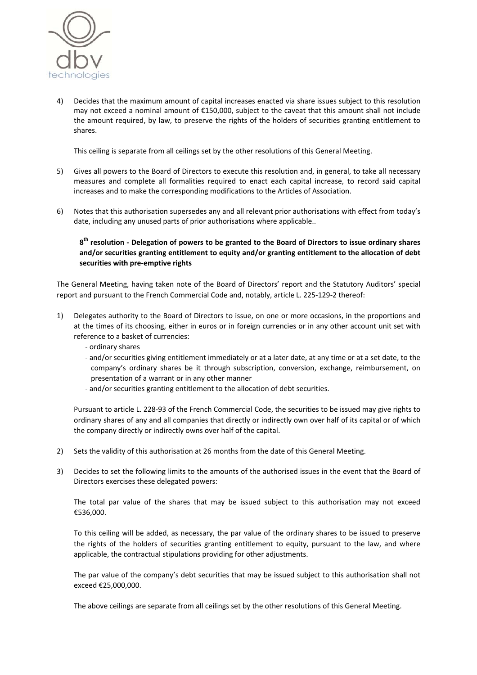

4) Decides that the maximum amount of capital increases enacted via share issues subject to this resolution may not exceed a nominal amount of €150,000, subject to the caveat that this amount shall not include the amount required, by law, to preserve the rights of the holders of securities granting entitlement to shares.

This ceiling is separate from all ceilings set by the other resolutions of this General Meeting.

- 5) Gives all powers to the Board of Directors to execute this resolution and, in general, to take all necessary measures and complete all formalities required to enact each capital increase, to record said capital increases and to make the corresponding modifications to the Articles of Association.
- 6) Notes that this authorisation supersedes any and all relevant prior authorisations with effect from today's date, including any unused parts of prior authorisations where applicable..

## $8<sup>th</sup>$  resolution - Delegation of powers to be granted to the Board of Directors to issue ordinary shares **and/or securities granting entitlement to equity and/or granting entitlement to the allocation of debt securities with pre‐emptive rights**

The General Meeting, having taken note of the Board of Directors' report and the Statutory Auditors' special report and pursuant to the French Commercial Code and, notably, article L. 225‐129‐2 thereof:

- 1) Delegates authority to the Board of Directors to issue, on one or more occasions, in the proportions and at the times of its choosing, either in euros or in foreign currencies or in any other account unit set with reference to a basket of currencies:
	- ‐ ordinary shares
	- ‐ and/or securities giving entitlement immediately or at a later date, at any time or at a set date, to the company's ordinary shares be it through subscription, conversion, exchange, reimbursement, on presentation of a warrant or in any other manner
	- ‐ and/or securities granting entitlement to the allocation of debt securities.

Pursuant to article L. 228‐93 of the French Commercial Code, the securities to be issued may give rights to ordinary shares of any and all companies that directly or indirectly own over half of its capital or of which the company directly or indirectly owns over half of the capital.

- 2) Sets the validity of this authorisation at 26 months from the date of this General Meeting.
- 3) Decides to set the following limits to the amounts of the authorised issues in the event that the Board of Directors exercises these delegated powers:

The total par value of the shares that may be issued subject to this authorisation may not exceed €536,000.

To this ceiling will be added, as necessary, the par value of the ordinary shares to be issued to preserve the rights of the holders of securities granting entitlement to equity, pursuant to the law, and where applicable, the contractual stipulations providing for other adjustments.

The par value of the company's debt securities that may be issued subject to this authorisation shall not exceed €25,000,000.

The above ceilings are separate from all ceilings set by the other resolutions of this General Meeting.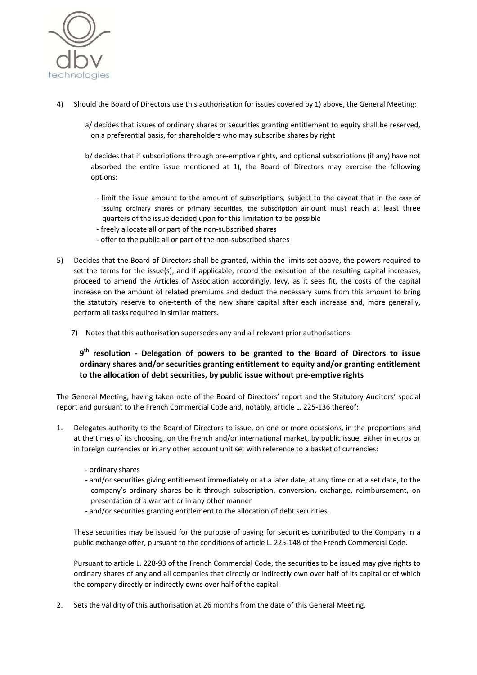

- 4) Should the Board of Directors use this authorisation for issues covered by 1) above, the General Meeting:
	- a/ decides that issues of ordinary shares or securities granting entitlement to equity shall be reserved, on a preferential basis, for shareholders who may subscribe shares by right
	- b/ decides that if subscriptions through pre‐emptive rights, and optional subscriptions (if any) have not absorbed the entire issue mentioned at 1), the Board of Directors may exercise the following options:
		- ‐ limit the issue amount to the amount of subscriptions, subject to the caveat that in the case of issuing ordinary shares or primary securities, the subscription amount must reach at least three quarters of the issue decided upon for this limitation to be possible
		- ‐ freely allocate all or part of the non‐subscribed shares
		- ‐ offer to the public all or part of the non‐subscribed shares
- 5) Decides that the Board of Directors shall be granted, within the limits set above, the powers required to set the terms for the issue(s), and if applicable, record the execution of the resulting capital increases, proceed to amend the Articles of Association accordingly, levy, as it sees fit, the costs of the capital increase on the amount of related premiums and deduct the necessary sums from this amount to bring the statutory reserve to one-tenth of the new share capital after each increase and, more generally, perform all tasks required in similar matters.
	- 7) Notes that this authorisation supersedes any and all relevant prior authorisations.

# **9th resolution ‐ Delegation of powers to be granted to the Board of Directors to issue ordinary shares and/or securities granting entitlement to equity and/or granting entitlement to the allocation of debt securities, by public issue without pre‐emptive rights**

The General Meeting, having taken note of the Board of Directors' report and the Statutory Auditors' special report and pursuant to the French Commercial Code and, notably, article L. 225‐136 thereof:

- 1. Delegates authority to the Board of Directors to issue, on one or more occasions, in the proportions and at the times of its choosing, on the French and/or international market, by public issue, either in euros or in foreign currencies or in any other account unit set with reference to a basket of currencies:
	- ‐ ordinary shares
	- ‐ and/or securities giving entitlement immediately or at a later date, at any time or at a set date, to the company's ordinary shares be it through subscription, conversion, exchange, reimbursement, on presentation of a warrant or in any other manner
	- ‐ and/or securities granting entitlement to the allocation of debt securities.

These securities may be issued for the purpose of paying for securities contributed to the Company in a public exchange offer, pursuant to the conditions of article L. 225-148 of the French Commercial Code.

Pursuant to article L. 228‐93 of the French Commercial Code, the securities to be issued may give rights to ordinary shares of any and all companies that directly or indirectly own over half of its capital or of which the company directly or indirectly owns over half of the capital.

2. Sets the validity of this authorisation at 26 months from the date of this General Meeting.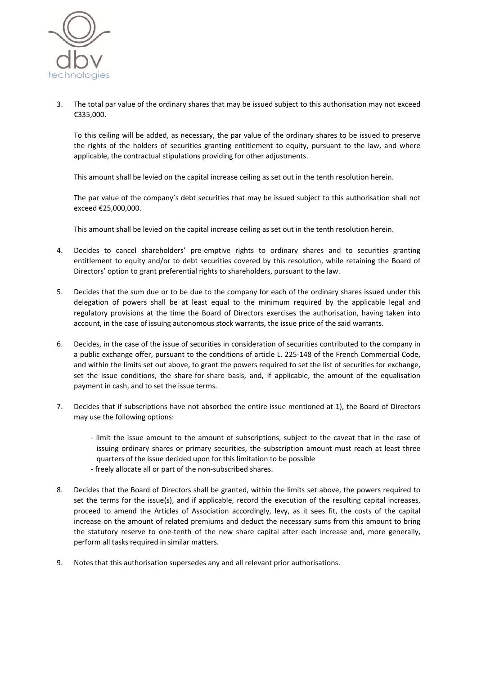

3. The total par value of the ordinary shares that may be issued subject to this authorisation may not exceed €335,000.

To this ceiling will be added, as necessary, the par value of the ordinary shares to be issued to preserve the rights of the holders of securities granting entitlement to equity, pursuant to the law, and where applicable, the contractual stipulations providing for other adjustments.

This amount shall be levied on the capital increase ceiling as set out in the tenth resolution herein.

The par value of the company's debt securities that may be issued subject to this authorisation shall not exceed €25,000,000.

This amount shall be levied on the capital increase ceiling as set out in the tenth resolution herein.

- 4. Decides to cancel shareholders' pre-emptive rights to ordinary shares and to securities granting entitlement to equity and/or to debt securities covered by this resolution, while retaining the Board of Directors' option to grant preferential rights to shareholders, pursuant to the law.
- 5. Decides that the sum due or to be due to the company for each of the ordinary shares issued under this delegation of powers shall be at least equal to the minimum required by the applicable legal and regulatory provisions at the time the Board of Directors exercises the authorisation, having taken into account, in the case of issuing autonomous stock warrants, the issue price of the said warrants.
- 6. Decides, in the case of the issue of securities in consideration of securities contributed to the company in a public exchange offer, pursuant to the conditions of article L. 225-148 of the French Commercial Code, and within the limits set out above, to grant the powers required to set the list of securities for exchange, set the issue conditions, the share-for-share basis, and, if applicable, the amount of the equalisation payment in cash, and to set the issue terms.
- 7. Decides that if subscriptions have not absorbed the entire issue mentioned at 1), the Board of Directors may use the following options:
	- ‐ limit the issue amount to the amount of subscriptions, subject to the caveat that in the case of issuing ordinary shares or primary securities, the subscription amount must reach at least three quarters of the issue decided upon for this limitation to be possible
	- ‐ freely allocate all or part of the non‐subscribed shares.
- 8. Decides that the Board of Directors shall be granted, within the limits set above, the powers required to set the terms for the issue(s), and if applicable, record the execution of the resulting capital increases, proceed to amend the Articles of Association accordingly, levy, as it sees fit, the costs of the capital increase on the amount of related premiums and deduct the necessary sums from this amount to bring the statutory reserve to one-tenth of the new share capital after each increase and, more generally, perform all tasks required in similar matters.
- 9. Notes that this authorisation supersedes any and all relevant prior authorisations.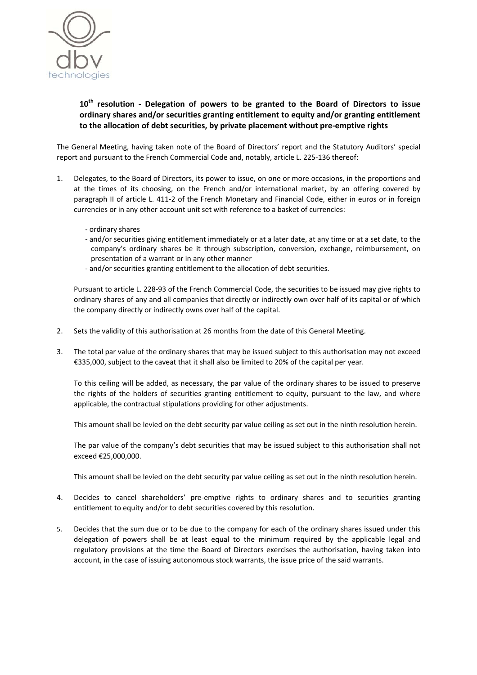

# **10th resolution ‐ Delegation of powers to be granted to the Board of Directors to issue ordinary shares and/or securities granting entitlement to equity and/or granting entitlement to the allocation of debt securities, by private placement without pre‐emptive rights**

The General Meeting, having taken note of the Board of Directors' report and the Statutory Auditors' special report and pursuant to the French Commercial Code and, notably, article L. 225‐136 thereof:

- 1. Delegates, to the Board of Directors, its power to issue, on one or more occasions, in the proportions and at the times of its choosing, on the French and/or international market, by an offering covered by paragraph II of article L. 411‐2 of the French Monetary and Financial Code, either in euros or in foreign currencies or in any other account unit set with reference to a basket of currencies:
	- ‐ ordinary shares
	- ‐ and/or securities giving entitlement immediately or at a later date, at any time or at a set date, to the company's ordinary shares be it through subscription, conversion, exchange, reimbursement, on presentation of a warrant or in any other manner
	- ‐ and/or securities granting entitlement to the allocation of debt securities.

Pursuant to article L. 228‐93 of the French Commercial Code, the securities to be issued may give rights to ordinary shares of any and all companies that directly or indirectly own over half of its capital or of which the company directly or indirectly owns over half of the capital.

- 2. Sets the validity of this authorisation at 26 months from the date of this General Meeting.
- 3. The total par value of the ordinary shares that may be issued subject to this authorisation may not exceed €335,000, subject to the caveat that it shall also be limited to 20% of the capital per year.

To this ceiling will be added, as necessary, the par value of the ordinary shares to be issued to preserve the rights of the holders of securities granting entitlement to equity, pursuant to the law, and where applicable, the contractual stipulations providing for other adjustments.

This amount shall be levied on the debt security par value ceiling as set out in the ninth resolution herein.

The par value of the company's debt securities that may be issued subject to this authorisation shall not exceed €25,000,000.

This amount shall be levied on the debt security par value ceiling as set out in the ninth resolution herein.

- 4. Decides to cancel shareholders' pre-emptive rights to ordinary shares and to securities granting entitlement to equity and/or to debt securities covered by this resolution.
- 5. Decides that the sum due or to be due to the company for each of the ordinary shares issued under this delegation of powers shall be at least equal to the minimum required by the applicable legal and regulatory provisions at the time the Board of Directors exercises the authorisation, having taken into account, in the case of issuing autonomous stock warrants, the issue price of the said warrants.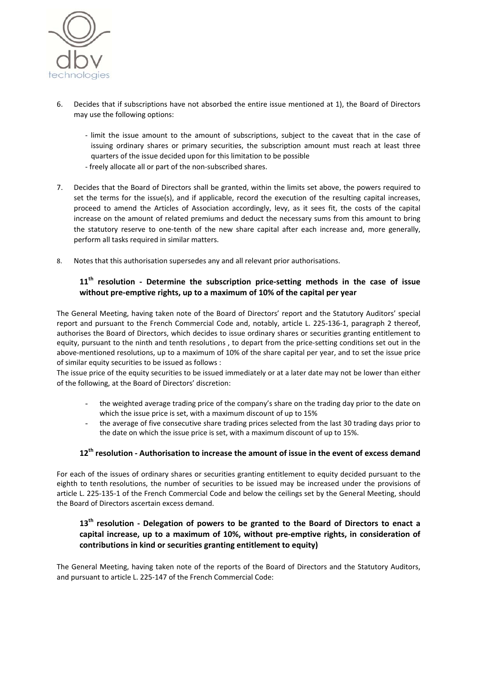

- 6. Decides that if subscriptions have not absorbed the entire issue mentioned at 1), the Board of Directors may use the following options:
	- ‐ limit the issue amount to the amount of subscriptions, subject to the caveat that in the case of issuing ordinary shares or primary securities, the subscription amount must reach at least three quarters of the issue decided upon for this limitation to be possible
	- ‐ freely allocate all or part of the non‐subscribed shares.
- 7. Decides that the Board of Directors shall be granted, within the limits set above, the powers required to set the terms for the issue(s), and if applicable, record the execution of the resulting capital increases, proceed to amend the Articles of Association accordingly, levy, as it sees fit, the costs of the capital increase on the amount of related premiums and deduct the necessary sums from this amount to bring the statutory reserve to one-tenth of the new share capital after each increase and, more generally, perform all tasks required in similar matters.
- 8. Notes that this authorisation supersedes any and all relevant prior authorisations.

# **11th resolution ‐ Determine the subscription price‐setting methods in the case of issue without pre‐emptive rights, up to a maximum of 10% of the capital per year**

The General Meeting, having taken note of the Board of Directors' report and the Statutory Auditors' special report and pursuant to the French Commercial Code and, notably, article L. 225‐136‐1, paragraph 2 thereof, authorises the Board of Directors, which decides to issue ordinary shares or securities granting entitlement to equity, pursuant to the ninth and tenth resolutions , to depart from the price‐setting conditions set out in the above‐mentioned resolutions, up to a maximum of 10% of the share capital per year, and to set the issue price of similar equity securities to be issued as follows :

The issue price of the equity securities to be issued immediately or at a later date may not be lower than either of the following, at the Board of Directors' discretion:

- the weighted average trading price of the company's share on the trading day prior to the date on which the issue price is set, with a maximum discount of up to 15%
- the average of five consecutive share trading prices selected from the last 30 trading days prior to the date on which the issue price is set, with a maximum discount of up to 15%.

### **12th resolution ‐ Authorisation to increase the amount of issue in the event of excess demand**

For each of the issues of ordinary shares or securities granting entitlement to equity decided pursuant to the eighth to tenth resolutions, the number of securities to be issued may be increased under the provisions of article L. 225‐135‐1 of the French Commercial Code and below the ceilings set by the General Meeting, should the Board of Directors ascertain excess demand.

# **13th resolution ‐ Delegation of powers to be granted to the Board of Directors to enact a capital increase, up to a maximum of 10%, without pre‐emptive rights, in consideration of contributions in kind or securities granting entitlement to equity)**

The General Meeting, having taken note of the reports of the Board of Directors and the Statutory Auditors, and pursuant to article L. 225‐147 of the French Commercial Code: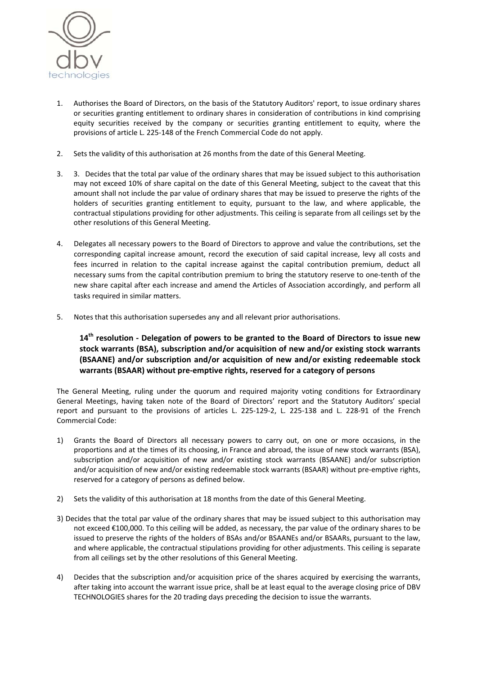

- 1. Authorises the Board of Directors, on the basis of the Statutory Auditors' report, to issue ordinary shares or securities granting entitlement to ordinary shares in consideration of contributions in kind comprising equity securities received by the company or securities granting entitlement to equity, where the provisions of article L. 225‐148 of the French Commercial Code do not apply.
- 2. Sets the validity of this authorisation at 26 months from the date of this General Meeting.
- 3. 3. Decides that the total par value of the ordinary shares that may be issued subject to this authorisation may not exceed 10% of share capital on the date of this General Meeting, subject to the caveat that this amount shall not include the par value of ordinary shares that may be issued to preserve the rights of the holders of securities granting entitlement to equity, pursuant to the law, and where applicable, the contractual stipulations providing for other adjustments. This ceiling is separate from all ceilings set by the other resolutions of this General Meeting.
- 4. Delegates all necessary powers to the Board of Directors to approve and value the contributions, set the corresponding capital increase amount, record the execution of said capital increase, levy all costs and fees incurred in relation to the capital increase against the capital contribution premium, deduct all necessary sums from the capital contribution premium to bring the statutory reserve to one‐tenth of the new share capital after each increase and amend the Articles of Association accordingly, and perform all tasks required in similar matters.
- 5. Notes that this authorisation supersedes any and all relevant prior authorisations.

# **14th resolution ‐ Delegation of powers to be granted to the Board of Directors to issue new stock warrants (BSA), subscription and/or acquisition of new and/or existing stock warrants (BSAANE) and/or subscription and/or acquisition of new and/or existing redeemable stock warrants (BSAAR) without pre‐emptive rights, reserved for a category of persons**

The General Meeting, ruling under the quorum and required majority voting conditions for Extraordinary General Meetings, having taken note of the Board of Directors' report and the Statutory Auditors' special report and pursuant to the provisions of articles L. 225‐129‐2, L. 225‐138 and L. 228‐91 of the French Commercial Code:

- 1) Grants the Board of Directors all necessary powers to carry out, on one or more occasions, in the proportions and at the times of its choosing, in France and abroad, the issue of new stock warrants (BSA), subscription and/or acquisition of new and/or existing stock warrants (BSAANE) and/or subscription and/or acquisition of new and/or existing redeemable stock warrants (BSAAR) without pre-emptive rights, reserved for a category of persons as defined below.
- 2) Sets the validity of this authorisation at 18 months from the date of this General Meeting.
- 3) Decides that the total par value of the ordinary shares that may be issued subject to this authorisation may not exceed €100,000. To this ceiling will be added, as necessary, the par value of the ordinary shares to be issued to preserve the rights of the holders of BSAs and/or BSAANEs and/or BSAARs, pursuant to the law, and where applicable, the contractual stipulations providing for other adjustments. This ceiling is separate from all ceilings set by the other resolutions of this General Meeting.
- 4) Decides that the subscription and/or acquisition price of the shares acquired by exercising the warrants, after taking into account the warrant issue price, shall be at least equal to the average closing price of DBV TECHNOLOGIES shares for the 20 trading days preceding the decision to issue the warrants.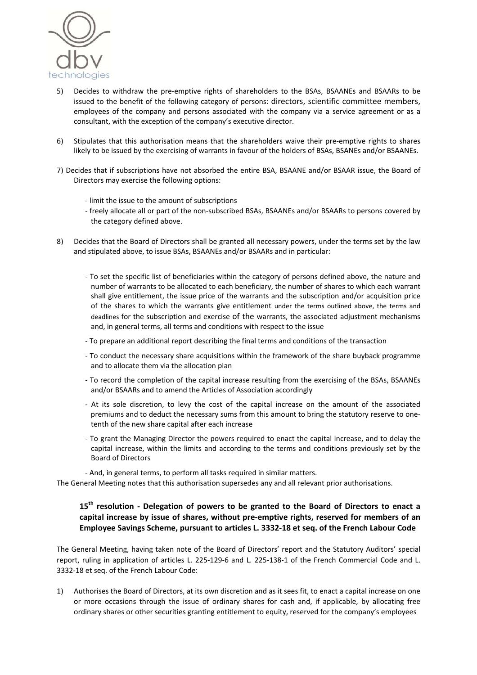

- 5) Decides to withdraw the pre-emptive rights of shareholders to the BSAs, BSAANEs and BSAARs to be issued to the benefit of the following category of persons: directors, scientific committee members, employees of the company and persons associated with the company via a service agreement or as a consultant, with the exception of the company's executive director.
- 6) Stipulates that this authorisation means that the shareholders waive their pre‐emptive rights to shares likely to be issued by the exercising of warrants in favour of the holders of BSAs, BSANEs and/or BSAANEs.
- 7) Decides that if subscriptions have not absorbed the entire BSA, BSAANE and/or BSAAR issue, the Board of Directors may exercise the following options:
	- ‐ limit the issue to the amount of subscriptions
	- ‐ freely allocate all or part of the non‐subscribed BSAs, BSAANEs and/or BSAARs to persons covered by the category defined above.
- 8) Decides that the Board of Directors shall be granted all necessary powers, under the terms set by the law and stipulated above, to issue BSAs, BSAANEs and/or BSAARs and in particular:
	- ‐ To set the specific list of beneficiaries within the category of persons defined above, the nature and number of warrants to be allocated to each beneficiary, the number of shares to which each warrant shall give entitlement, the issue price of the warrants and the subscription and/or acquisition price of the shares to which the warrants give entitlement under the terms outlined above, the terms and deadlines for the subscription and exercise of the warrants, the associated adjustment mechanisms and, in general terms, all terms and conditions with respect to the issue
	- ‐ To prepare an additional report describing the final terms and conditions of the transaction
	- ‐ To conduct the necessary share acquisitions within the framework of the share buyback programme and to allocate them via the allocation plan
	- ‐ To record the completion of the capital increase resulting from the exercising of the BSAs, BSAANEs and/or BSAARs and to amend the Articles of Association accordingly
	- ‐ At its sole discretion, to levy the cost of the capital increase on the amount of the associated premiums and to deduct the necessary sums from this amount to bring the statutory reserve to one‐ tenth of the new share capital after each increase
	- ‐ To grant the Managing Director the powers required to enact the capital increase, and to delay the capital increase, within the limits and according to the terms and conditions previously set by the Board of Directors
	- ‐ And, in general terms, to perform all tasks required in similar matters.

The General Meeting notes that this authorisation supersedes any and all relevant prior authorisations.

# **15th resolution ‐ Delegation of powers to be granted to the Board of Directors to enact a capital increase by issue of shares, without pre‐emptive rights, reserved for members of an Employee Savings Scheme, pursuant to articles L. 3332‐18 et seq. of the French Labour Code**

The General Meeting, having taken note of the Board of Directors' report and the Statutory Auditors' special report, ruling in application of articles L. 225‐129‐6 and L. 225‐138‐1 of the French Commercial Code and L. 3332‐18 et seq. of the French Labour Code:

1) Authorises the Board of Directors, at its own discretion and as it sees fit, to enact a capital increase on one or more occasions through the issue of ordinary shares for cash and, if applicable, by allocating free ordinary shares or other securities granting entitlement to equity, reserved for the company's employees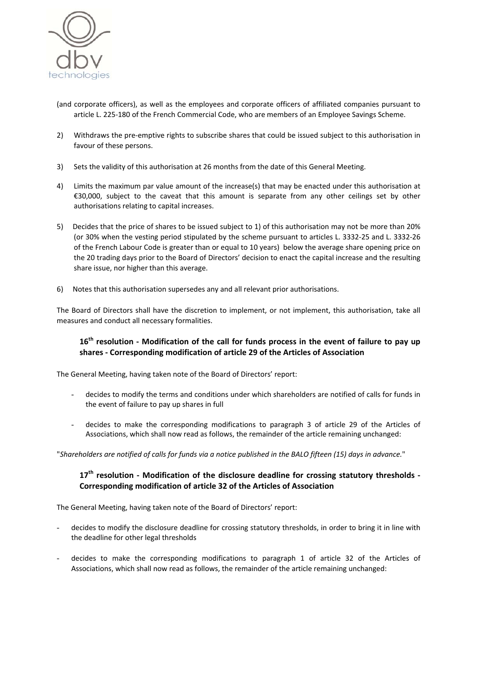

- (and corporate officers), as well as the employees and corporate officers of affiliated companies pursuant to article L. 225‐180 of the French Commercial Code, who are members of an Employee Savings Scheme.
- 2) Withdraws the pre-emptive rights to subscribe shares that could be issued subject to this authorisation in favour of these persons.
- 3) Sets the validity of this authorisation at 26 months from the date of this General Meeting.
- 4) Limits the maximum par value amount of the increase(s) that may be enacted under this authorisation at €30,000, subject to the caveat that this amount is separate from any other ceilings set by other authorisations relating to capital increases.
- 5) Decides that the price of shares to be issued subject to 1) of this authorisation may not be more than 20% (or 30% when the vesting period stipulated by the scheme pursuant to articles L. 3332‐25 and L. 3332‐26 of the French Labour Code is greater than or equal to 10 years) below the average share opening price on the 20 trading days prior to the Board of Directors' decision to enact the capital increase and the resulting share issue, nor higher than this average.
- 6) Notes that this authorisation supersedes any and all relevant prior authorisations.

The Board of Directors shall have the discretion to implement, or not implement, this authorisation, take all measures and conduct all necessary formalities.

## 16<sup>th</sup> resolution - Modification of the call for funds process in the event of failure to pay up **shares ‐ Corresponding modification of article 29 of the Articles of Association**

The General Meeting, having taken note of the Board of Directors' report:

- decides to modify the terms and conditions under which shareholders are notified of calls for funds in the event of failure to pay up shares in full
- decides to make the corresponding modifications to paragraph 3 of article 29 of the Articles of Associations, which shall now read as follows, the remainder of the article remaining unchanged:

"Shareholders are notified of calls for funds via a notice published in the BALO fifteen (15) days in advance."

# **17th resolution ‐ Modification of the disclosure deadline for crossing statutory thresholds ‐ Corresponding modification of article 32 of the Articles of Association**

The General Meeting, having taken note of the Board of Directors' report:

- decides to modify the disclosure deadline for crossing statutory thresholds, in order to bring it in line with the deadline for other legal thresholds
- decides to make the corresponding modifications to paragraph 1 of article 32 of the Articles of Associations, which shall now read as follows, the remainder of the article remaining unchanged: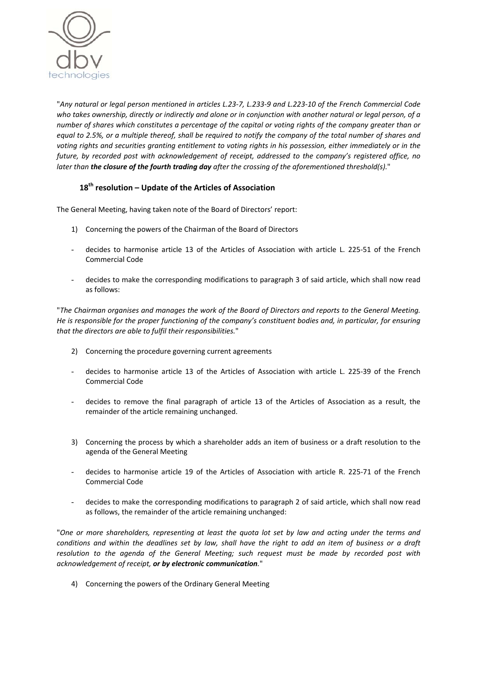

"Any natural or legal person mentioned in articles L.23-7, L.233-9 and L.223-10 of the French Commercial Code who takes ownership, directly or indirectly and alone or in conjunction with another natural or legal person, of a number of shares which constitutes a percentage of the capital or voting rights of the company greater than or equal to 2.5%, or a multiple thereof, shall be required to notify the company of the total number of shares and voting rights and securities granting entitlement to voting rights in his possession, either immediately or in the *future, by recorded post with acknowledgement of receipt, addressed to the company's registered office, no later than the closure of the fourth trading day after the crossing of the aforementioned threshold(s).*"

# **18th resolution – Update of the Articles of Association**

The General Meeting, having taken note of the Board of Directors' report:

- 1) Concerning the powers of the Chairman of the Board of Directors
- decides to harmonise article 13 of the Articles of Association with article L. 225-51 of the French Commercial Code
- decides to make the corresponding modifications to paragraph 3 of said article, which shall now read as follows:

"The Chairman organises and manages the work of the Board of Directors and reports to the General Meeting. He is responsible for the proper functioning of the company's constituent bodies and, in particular, for ensuring *that the directors are able to fulfil their responsibilities.*"

- 2) Concerning the procedure governing current agreements
- decides to harmonise article 13 of the Articles of Association with article L. 225-39 of the French Commercial Code
- decides to remove the final paragraph of article 13 of the Articles of Association as a result, the remainder of the article remaining unchanged.
- 3) Concerning the process by which a shareholder adds an item of business or a draft resolution to the agenda of the General Meeting
- decides to harmonise article 19 of the Articles of Association with article R. 225-71 of the French Commercial Code
- decides to make the corresponding modifications to paragraph 2 of said article, which shall now read as follows, the remainder of the article remaining unchanged:

"One or more shareholders, representing at least the quota lot set by law and acting under the terms and conditions and within the deadlines set by law, shall have the right to add an item of business or a draft *resolution to the agenda of the General Meeting; such request must be made by recorded post with acknowledgement of receipt, or by electronic communication.*"

4) Concerning the powers of the Ordinary General Meeting